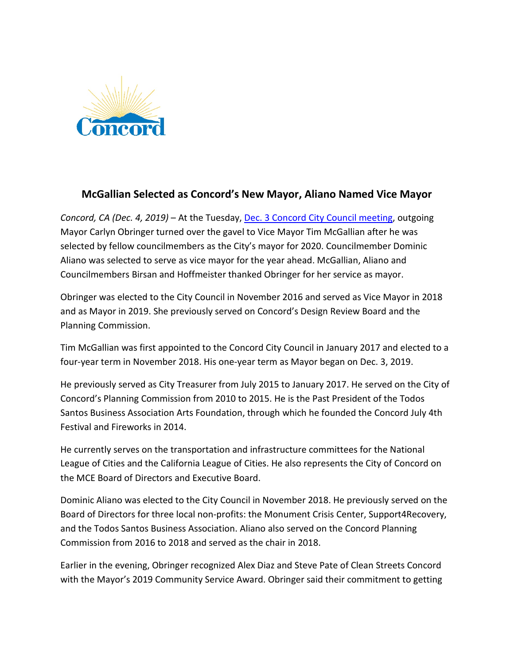

## **McGallian Selected as Concord's New Mayor, Aliano Named Vice Mayor**

*Concord, CA (Dec. 4, 2019)* – At the Tuesday, [Dec. 3 Concord City Council meeting,](http://reflect-concord.cablecast.tv/vod/244-City-Council-Meeting-12-3-19-High-v1.mp4) outgoing Mayor Carlyn Obringer turned over the gavel to Vice Mayor Tim McGallian after he was selected by fellow councilmembers as the City's mayor for 2020. Councilmember Dominic Aliano was selected to serve as vice mayor for the year ahead. McGallian, Aliano and Councilmembers Birsan and Hoffmeister thanked Obringer for her service as mayor.

Obringer was elected to the City Council in November 2016 and served as Vice Mayor in 2018 and as Mayor in 2019. She previously served on Concord's Design Review Board and the Planning Commission.

Tim McGallian was first appointed to the Concord City Council in January 2017 and elected to a four-year term in November 2018. His one-year term as Mayor began on Dec. 3, 2019.

He previously served as City Treasurer from July 2015 to January 2017. He served on the City of Concord's Planning Commission from 2010 to 2015. He is the Past President of the Todos Santos Business Association Arts Foundation, through which he founded the Concord July 4th Festival and Fireworks in 2014.

He currently serves on the transportation and infrastructure committees for the National League of Cities and the California League of Cities. He also represents the City of Concord on the MCE Board of Directors and Executive Board.

Dominic Aliano was elected to the City Council in November 2018. He previously served on the Board of Directors for three local non-profits: the Monument Crisis Center, Support4Recovery, and the Todos Santos Business Association. Aliano also served on the Concord Planning Commission from 2016 to 2018 and served as the chair in 2018.

Earlier in the evening, Obringer recognized Alex Diaz and Steve Pate of Clean Streets Concord with the Mayor's 2019 Community Service Award. Obringer said their commitment to getting